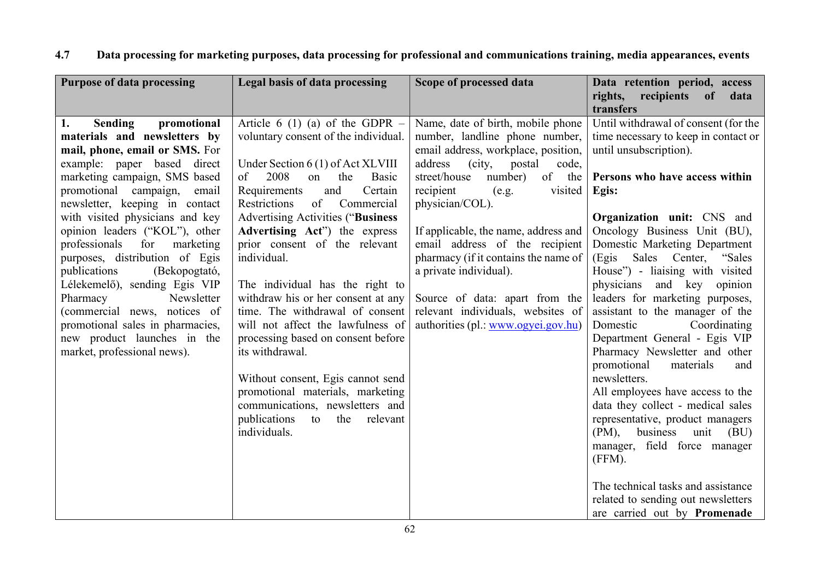| <b>Purpose of data processing</b>                                                                                                                                                                                                                                                                                                                                                                                                                                                                                                                                                                                   | Legal basis of data processing                                                                                                                                                                                                                                                                                                                                                                                                                                                                                                                                                                                                                                                                                                    | Scope of processed data                                                                                                                                                                                                                                                                                                                                                                                                                                                                               | Data retention period, access<br>rights, recipients of<br>data<br>transfers                                                                                                                                                                                                                                                                                                                                                                                                                                                                                                                                                                                                                                                                                                                                                                                                        |
|---------------------------------------------------------------------------------------------------------------------------------------------------------------------------------------------------------------------------------------------------------------------------------------------------------------------------------------------------------------------------------------------------------------------------------------------------------------------------------------------------------------------------------------------------------------------------------------------------------------------|-----------------------------------------------------------------------------------------------------------------------------------------------------------------------------------------------------------------------------------------------------------------------------------------------------------------------------------------------------------------------------------------------------------------------------------------------------------------------------------------------------------------------------------------------------------------------------------------------------------------------------------------------------------------------------------------------------------------------------------|-------------------------------------------------------------------------------------------------------------------------------------------------------------------------------------------------------------------------------------------------------------------------------------------------------------------------------------------------------------------------------------------------------------------------------------------------------------------------------------------------------|------------------------------------------------------------------------------------------------------------------------------------------------------------------------------------------------------------------------------------------------------------------------------------------------------------------------------------------------------------------------------------------------------------------------------------------------------------------------------------------------------------------------------------------------------------------------------------------------------------------------------------------------------------------------------------------------------------------------------------------------------------------------------------------------------------------------------------------------------------------------------------|
| <b>Sending</b><br>promotional<br>1.<br>materials and newsletters by<br>mail, phone, email or SMS. For<br>example: paper based direct<br>marketing campaign, SMS based<br>promotional campaign,<br>email<br>newsletter, keeping in contact<br>with visited physicians and key<br>opinion leaders ("KOL"), other<br>professionals<br>for<br>marketing<br>purposes, distribution of Egis<br>(Bekopogtató,<br>publications<br>Lélekemelő), sending Egis VIP<br>Pharmacy<br>Newsletter<br>(commercial news, notices of<br>promotional sales in pharmacies,<br>new product launches in the<br>market, professional news). | Article 6 (1) (a) of the GDPR $-$<br>voluntary consent of the individual.<br>Under Section 6 (1) of Act XLVIII<br>2008<br>on<br>the<br>Basic<br>of<br>and<br>Certain<br>Requirements<br>of<br>Restrictions<br>Commercial<br><b>Advertising Activities ("Business</b><br>Advertising Act") the express<br>prior consent of the relevant<br>individual.<br>The individual has the right to<br>withdraw his or her consent at any<br>time. The withdrawal of consent<br>will not affect the lawfulness of<br>processing based on consent before<br>its withdrawal.<br>Without consent, Egis cannot send<br>promotional materials, marketing<br>communications, newsletters and<br>publications to<br>the<br>relevant<br>individuals. | Name, date of birth, mobile phone<br>number, landline phone number,<br>email address, workplace, position,<br>address<br>(city,<br>postal<br>code,<br>street/house<br>number)<br>of the<br>recipient<br>(e.g.<br>visited<br>physician/COL).<br>If applicable, the name, address and<br>email address of the recipient<br>pharmacy (if it contains the name of<br>a private individual).<br>Source of data: apart from the<br>relevant individuals, websites of<br>authorities (pl.: www.ogyei.gov.hu) | Until withdrawal of consent (for the<br>time necessary to keep in contact or<br>until unsubscription).<br>Persons who have access within<br>Egis:<br><b>Organization unit:</b> CNS and<br>Oncology Business Unit (BU),<br>Domestic Marketing Department<br>(Egis Sales Center, "Sales<br>House") - liaising with visited<br>physicians and key opinion<br>leaders for marketing purposes,<br>assistant to the manager of the<br>Domestic<br>Coordinating<br>Department General - Egis VIP<br>Pharmacy Newsletter and other<br>promotional<br>materials<br>and<br>newsletters.<br>All employees have access to the<br>data they collect - medical sales<br>representative, product managers<br>$(PM)$ ,<br>business unit (BU)<br>manager, field force manager<br>(FFM).<br>The technical tasks and assistance<br>related to sending out newsletters<br>are carried out by Promenade |

## 4.7 Data processing for marketing purposes, data processing for professional and communications training, media appearances, events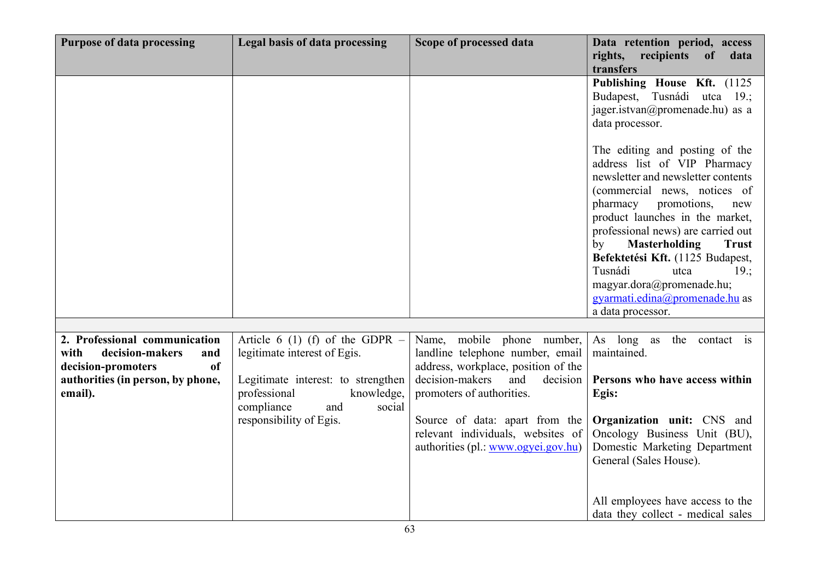| <b>Purpose of data processing</b>                                  | Legal basis of data processing                                                                  | Scope of processed data                                                                                    | Data retention period, access<br>rights, recipients of<br>data<br>transfers                                                                                                                                                                                                                                                                                                                                                                     |
|--------------------------------------------------------------------|-------------------------------------------------------------------------------------------------|------------------------------------------------------------------------------------------------------------|-------------------------------------------------------------------------------------------------------------------------------------------------------------------------------------------------------------------------------------------------------------------------------------------------------------------------------------------------------------------------------------------------------------------------------------------------|
|                                                                    |                                                                                                 |                                                                                                            | Publishing House Kft. (1125<br>Budapest, Tusnádi utca 19.;<br>jager.istvan@promenade.hu) as a<br>data processor.                                                                                                                                                                                                                                                                                                                                |
|                                                                    |                                                                                                 |                                                                                                            | The editing and posting of the<br>address list of VIP Pharmacy<br>newsletter and newsletter contents<br>(commercial news, notices of<br>pharmacy<br>promotions,<br>new<br>product launches in the market,<br>professional news) are carried out<br><b>Masterholding</b><br><b>Trust</b><br>by<br>Befektetési Kft. (1125 Budapest,<br>Tusnádi<br>19:<br>utca<br>magyar.dora@promenade.hu;<br>gyarmati.edina@promenade.hu as<br>a data processor. |
|                                                                    |                                                                                                 |                                                                                                            |                                                                                                                                                                                                                                                                                                                                                                                                                                                 |
| 2. Professional communication                                      | Article 6 (1) (f) of the GDPR $-$                                                               | Name, mobile phone number,                                                                                 | As long as the contact is                                                                                                                                                                                                                                                                                                                                                                                                                       |
| with<br>decision-makers<br>and<br><sub>of</sub>                    | legitimate interest of Egis.                                                                    | landline telephone number, email                                                                           | maintained.                                                                                                                                                                                                                                                                                                                                                                                                                                     |
| decision-promoters<br>authorities (in person, by phone,<br>email). | Legitimate interest: to strengthen<br>professional<br>knowledge,<br>compliance<br>and<br>social | address, workplace, position of the<br>decision-makers<br>and<br>decision<br>promoters of authorities.     | Persons who have access within<br>Egis:                                                                                                                                                                                                                                                                                                                                                                                                         |
|                                                                    | responsibility of Egis.                                                                         | Source of data: apart from the<br>relevant individuals, websites of<br>authorities (pl.: www.ogyei.gov.hu) | <b>Organization unit:</b> CNS and<br>Oncology Business Unit (BU),<br>Domestic Marketing Department<br>General (Sales House).                                                                                                                                                                                                                                                                                                                    |
|                                                                    |                                                                                                 |                                                                                                            | All employees have access to the<br>data they collect - medical sales                                                                                                                                                                                                                                                                                                                                                                           |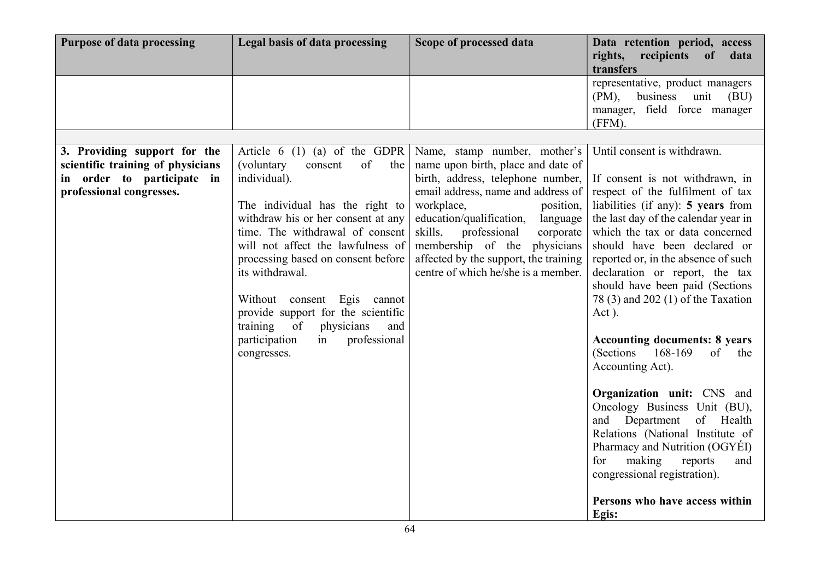| <b>Purpose of data processing</b> | Legal basis of data processing                                                                                                                                                                                                                                                                                                                                                      | Scope of processed data                                                                                                                                                                                                                                          | Data retention period, access<br>rights, recipients<br>of<br>data<br>transfers                                                                                                                                                                                                                                                                                                                                                                                                                                                                                                                                                                                                                                                 |
|-----------------------------------|-------------------------------------------------------------------------------------------------------------------------------------------------------------------------------------------------------------------------------------------------------------------------------------------------------------------------------------------------------------------------------------|------------------------------------------------------------------------------------------------------------------------------------------------------------------------------------------------------------------------------------------------------------------|--------------------------------------------------------------------------------------------------------------------------------------------------------------------------------------------------------------------------------------------------------------------------------------------------------------------------------------------------------------------------------------------------------------------------------------------------------------------------------------------------------------------------------------------------------------------------------------------------------------------------------------------------------------------------------------------------------------------------------|
|                                   |                                                                                                                                                                                                                                                                                                                                                                                     |                                                                                                                                                                                                                                                                  | representative, product managers<br>$(PM)$ ,<br>business unit<br>(BU)<br>manager, field force manager<br>(FFM).                                                                                                                                                                                                                                                                                                                                                                                                                                                                                                                                                                                                                |
|                                   |                                                                                                                                                                                                                                                                                                                                                                                     |                                                                                                                                                                                                                                                                  |                                                                                                                                                                                                                                                                                                                                                                                                                                                                                                                                                                                                                                                                                                                                |
| 3. Providing support for the      | Article $6(1)(a)$ of the GDPR                                                                                                                                                                                                                                                                                                                                                       | Name, stamp number, mother's                                                                                                                                                                                                                                     | Until consent is withdrawn.                                                                                                                                                                                                                                                                                                                                                                                                                                                                                                                                                                                                                                                                                                    |
| scientific training of physicians | of<br>(voluntary<br>consent<br>the                                                                                                                                                                                                                                                                                                                                                  | name upon birth, place and date of                                                                                                                                                                                                                               |                                                                                                                                                                                                                                                                                                                                                                                                                                                                                                                                                                                                                                                                                                                                |
| in order to participate in        | individual).                                                                                                                                                                                                                                                                                                                                                                        | birth, address, telephone number,                                                                                                                                                                                                                                | If consent is not withdrawn, in                                                                                                                                                                                                                                                                                                                                                                                                                                                                                                                                                                                                                                                                                                |
| professional congresses.          | The individual has the right to<br>withdraw his or her consent at any<br>time. The withdrawal of consent<br>will not affect the lawfulness of<br>processing based on consent before<br>its withdrawal.<br>Without consent Egis cannot<br>provide support for the scientific<br><sub>of</sub><br>training<br>physicians<br>and<br>professional<br>participation<br>in<br>congresses. | email address, name and address of<br>workplace,<br>position,<br>education/qualification,<br>language<br>skills,<br>professional<br>corporate<br>membership of the<br>physicians<br>affected by the support, the training<br>centre of which he/she is a member. | respect of the fulfilment of tax<br>liabilities (if any): 5 years from<br>the last day of the calendar year in<br>which the tax or data concerned<br>should have been declared or<br>reported or, in the absence of such<br>declaration or report, the tax<br>should have been paid (Sections<br>78 (3) and 202 (1) of the Taxation<br>Act).<br><b>Accounting documents: 8 years</b><br>$(Sections 168-169)$<br>of<br>the<br>Accounting Act).<br>Organization unit: CNS and<br>Oncology Business Unit (BU),<br>and Department<br>of Health<br>Relations (National Institute of<br>Pharmacy and Nutrition (OGYÉI)<br>making<br>for<br>reports<br>and<br>congressional registration).<br>Persons who have access within<br>Egis: |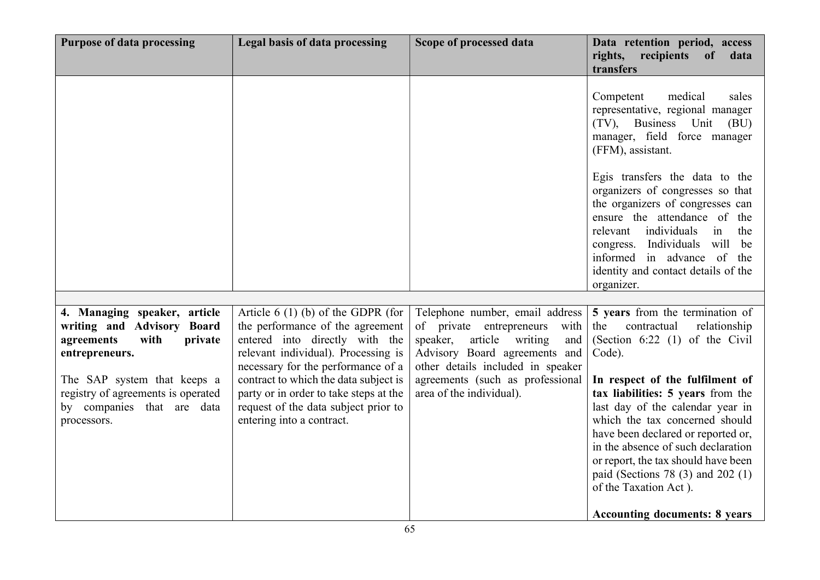| <b>Purpose of data processing</b>                                                                                                                                                                                               | Legal basis of data processing                                                                                                                                                                                                                                                                                                                 | Scope of processed data                                                                                                                                                                                                                         | Data retention period, access<br>rights, recipients of<br>data<br>transfers                                                                                                                                                                                                                                                                                                                                                                                                                |
|---------------------------------------------------------------------------------------------------------------------------------------------------------------------------------------------------------------------------------|------------------------------------------------------------------------------------------------------------------------------------------------------------------------------------------------------------------------------------------------------------------------------------------------------------------------------------------------|-------------------------------------------------------------------------------------------------------------------------------------------------------------------------------------------------------------------------------------------------|--------------------------------------------------------------------------------------------------------------------------------------------------------------------------------------------------------------------------------------------------------------------------------------------------------------------------------------------------------------------------------------------------------------------------------------------------------------------------------------------|
|                                                                                                                                                                                                                                 |                                                                                                                                                                                                                                                                                                                                                |                                                                                                                                                                                                                                                 | Competent<br>medical<br>sales<br>representative, regional manager<br>(TV), Business Unit<br>(BU)<br>manager, field force manager<br>(FFM), assistant.                                                                                                                                                                                                                                                                                                                                      |
|                                                                                                                                                                                                                                 |                                                                                                                                                                                                                                                                                                                                                |                                                                                                                                                                                                                                                 | Egis transfers the data to the<br>organizers of congresses so that<br>the organizers of congresses can<br>ensure the attendance of the<br>individuals<br>relevant<br>the<br>in<br>Individuals will be<br>congress.<br>informed in advance of the<br>identity and contact details of the<br>organizer.                                                                                                                                                                                      |
| 4. Managing speaker, article<br>writing and Advisory Board<br>agreements<br>with<br>private<br>entrepreneurs.<br>The SAP system that keeps a<br>registry of agreements is operated<br>by companies that are data<br>processors. | Article $6(1)$ (b) of the GDPR (for<br>the performance of the agreement<br>entered into directly with the<br>relevant individual). Processing is<br>necessary for the performance of a<br>contract to which the data subject is<br>party or in order to take steps at the<br>request of the data subject prior to<br>entering into a contract. | Telephone number, email address<br>of private entrepreneurs<br>with<br>article writing<br>speaker,<br>and<br>Advisory Board agreements and<br>other details included in speaker<br>agreements (such as professional<br>area of the individual). | 5 years from the termination of<br>the<br>contractual<br>relationship<br>(Section $6:22$ (1) of the Civil<br>Code).<br>In respect of the fulfilment of<br>tax liabilities: 5 years from the<br>last day of the calendar year in<br>which the tax concerned should<br>have been declared or reported or,<br>in the absence of such declaration<br>or report, the tax should have been<br>paid (Sections 78 (3) and 202 (1)<br>of the Taxation Act).<br><b>Accounting documents: 8 years</b> |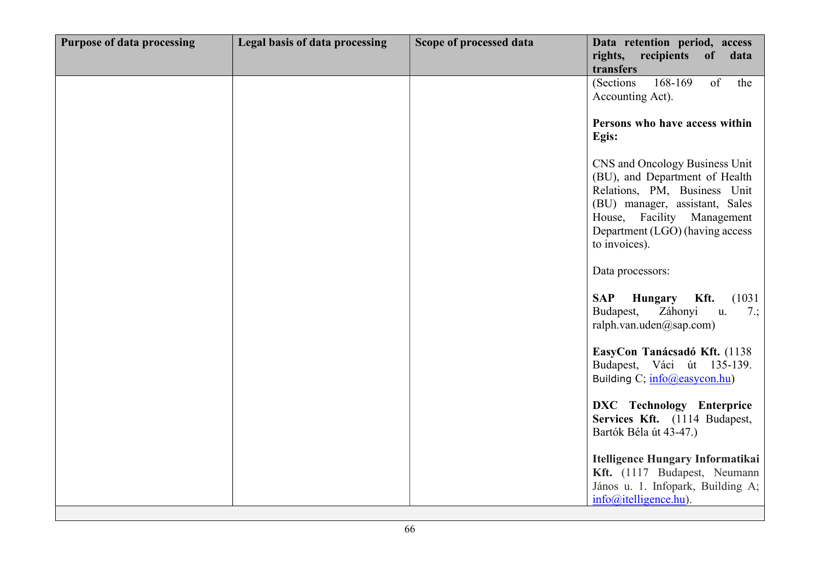| <b>Purpose of data processing</b> | Legal basis of data processing | Scope of processed data | Data retention period, access<br>rights, recipients of<br>data<br>transfers                                                                                                                                          |
|-----------------------------------|--------------------------------|-------------------------|----------------------------------------------------------------------------------------------------------------------------------------------------------------------------------------------------------------------|
|                                   |                                |                         | 168-169<br>of<br>(Sections)<br>the<br>Accounting Act).                                                                                                                                                               |
|                                   |                                |                         | Persons who have access within<br>Egis:                                                                                                                                                                              |
|                                   |                                |                         | CNS and Oncology Business Unit<br>(BU), and Department of Health<br>Relations, PM, Business Unit<br>(BU) manager, assistant, Sales<br>House, Facility Management<br>Department (LGO) (having access<br>to invoices). |
|                                   |                                |                         | Data processors:                                                                                                                                                                                                     |
|                                   |                                |                         | Kft.<br><b>SAP</b><br><b>Hungary</b><br>(1031)<br>Budapest,<br>Záhonyi<br>u.<br>7:<br>ralph.van.uden $(a)$ sap.com)                                                                                                  |
|                                   |                                |                         | EasyCon Tanácsadó Kft. (1138)<br>Budapest, Váci út 135-139.<br>Building C; info@easycon.hu)                                                                                                                          |
|                                   |                                |                         | DXC Technology Enterprice<br>Services Kft. (1114 Budapest,<br>Bartók Béla út 43-47.)                                                                                                                                 |
|                                   |                                |                         | Itelligence Hungary Informatikai<br>Kft. (1117 Budapest, Neumann<br>János u. 1. Infopark, Building A;<br>$info(\omega)$ itelligence.hu).                                                                             |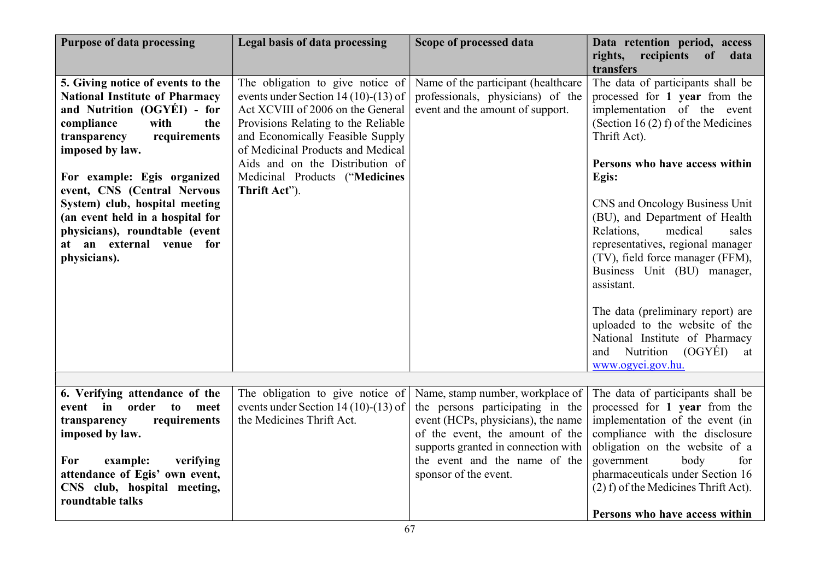| <b>Purpose of data processing</b>                                                                                                                                                                                                                                                                                                                                                                           | Legal basis of data processing                                                                                                                                                                                                                                                                                      | Scope of processed data                                                                                                                                                                                                                        | Data retention period, access<br>rights, recipients<br>of<br>data<br>transfers                                                                                                                                                                                                                                                                                                       |
|-------------------------------------------------------------------------------------------------------------------------------------------------------------------------------------------------------------------------------------------------------------------------------------------------------------------------------------------------------------------------------------------------------------|---------------------------------------------------------------------------------------------------------------------------------------------------------------------------------------------------------------------------------------------------------------------------------------------------------------------|------------------------------------------------------------------------------------------------------------------------------------------------------------------------------------------------------------------------------------------------|--------------------------------------------------------------------------------------------------------------------------------------------------------------------------------------------------------------------------------------------------------------------------------------------------------------------------------------------------------------------------------------|
| 5. Giving notice of events to the<br><b>National Institute of Pharmacy</b><br>and Nutrition (OGYÉI) - for<br>compliance<br>with<br>the<br>requirements<br>transparency<br>imposed by law.<br>For example: Egis organized<br>event, CNS (Central Nervous<br>System) club, hospital meeting<br>(an event held in a hospital for<br>physicians), roundtable (event<br>at an external venue for<br>physicians). | The obligation to give notice of<br>events under Section 14 (10)-(13) of<br>Act XCVIII of 2006 on the General<br>Provisions Relating to the Reliable<br>and Economically Feasible Supply<br>of Medicinal Products and Medical<br>Aids and on the Distribution of<br>Medicinal Products ("Medicines<br>Thrift Act"). | Name of the participant (healthcare<br>professionals, physicians) of the<br>event and the amount of support.                                                                                                                                   | The data of participants shall be<br>processed for 1 year from the<br>implementation of the event<br>(Section 16 $(2)$ f) of the Medicines<br>Thrift Act).<br>Persons who have access within<br>Egis:<br>CNS and Oncology Business Unit<br>(BU), and Department of Health<br>Relations,<br>medical<br>sales<br>representatives, regional manager<br>(TV), field force manager (FFM), |
|                                                                                                                                                                                                                                                                                                                                                                                                             |                                                                                                                                                                                                                                                                                                                     |                                                                                                                                                                                                                                                | Business Unit (BU) manager,<br>assistant.<br>The data (preliminary report) are<br>uploaded to the website of the<br>National Institute of Pharmacy<br>and Nutrition (OGYÉI)<br>at<br>www.ogyei.gov.hu.                                                                                                                                                                               |
| 6. Verifying attendance of the<br>event in order<br>to<br>meet<br>requirements<br>transparency<br>imposed by law.<br>verifying<br>For<br>example:<br>attendance of Egis' own event,<br>CNS club, hospital meeting,                                                                                                                                                                                          | The obligation to give notice of<br>events under Section 14 (10)-(13) of<br>the Medicines Thrift Act.                                                                                                                                                                                                               | Name, stamp number, workplace of<br>the persons participating in the<br>event (HCPs, physicians), the name<br>of the event, the amount of the<br>supports granted in connection with<br>the event and the name of the<br>sponsor of the event. | The data of participants shall be<br>processed for 1 year from the<br>implementation of the event (in<br>compliance with the disclosure<br>obligation on the website of a<br>government<br>body<br>for<br>pharmaceuticals under Section 16<br>(2) f) of the Medicines Thrift Act).                                                                                                   |
| roundtable talks                                                                                                                                                                                                                                                                                                                                                                                            |                                                                                                                                                                                                                                                                                                                     |                                                                                                                                                                                                                                                | Persons who have access within                                                                                                                                                                                                                                                                                                                                                       |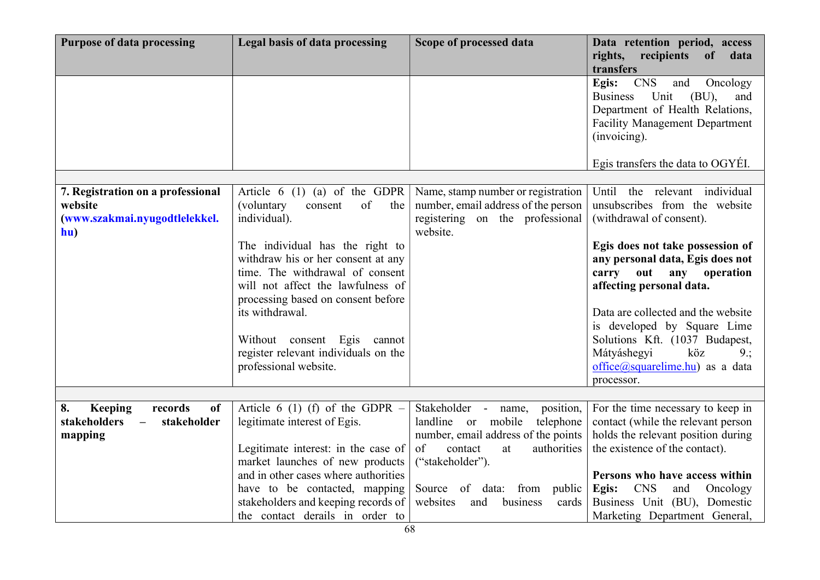| <b>Purpose of data processing</b>                                                                    | Legal basis of data processing                                                                                                                                                                                                                                                                                                                                                                | Scope of processed data                                                                                                                                                                                                                     | Data retention period, access<br>rights, recipients<br>of<br>data                                                                                                                                                                                                                                                                                                                                                |
|------------------------------------------------------------------------------------------------------|-----------------------------------------------------------------------------------------------------------------------------------------------------------------------------------------------------------------------------------------------------------------------------------------------------------------------------------------------------------------------------------------------|---------------------------------------------------------------------------------------------------------------------------------------------------------------------------------------------------------------------------------------------|------------------------------------------------------------------------------------------------------------------------------------------------------------------------------------------------------------------------------------------------------------------------------------------------------------------------------------------------------------------------------------------------------------------|
|                                                                                                      |                                                                                                                                                                                                                                                                                                                                                                                               |                                                                                                                                                                                                                                             | transfers<br><b>CNS</b><br>Egis:<br>and<br>Oncology<br>Unit<br><b>Business</b><br>(BU),<br>and<br>Department of Health Relations,<br><b>Facility Management Department</b><br>(invoicing).<br>Egis transfers the data to OGYEI.                                                                                                                                                                                  |
| 7. Registration on a professional<br>website<br>(www.szakmai.nyugodtlelekkel.<br>hu)                 | Article 6 (1) (a) of the GDPR<br>of<br>(voluntary<br>consent<br>the<br>individual).<br>The individual has the right to<br>withdraw his or her consent at any<br>time. The withdrawal of consent<br>will not affect the lawfulness of<br>processing based on consent before<br>its withdrawal.<br>Without consent Egis cannot<br>register relevant individuals on the<br>professional website. | Name, stamp number or registration<br>number, email address of the person<br>registering on the professional<br>website.                                                                                                                    | Until the relevant individual<br>unsubscribes from the website<br>(withdrawal of consent).<br>Egis does not take possession of<br>any personal data, Egis does not<br>carry out any<br>operation<br>affecting personal data.<br>Data are collected and the website<br>is developed by Square Lime<br>Solutions Kft. (1037 Budapest,<br>Mátyáshegyi<br>köz<br>9:<br>office@squarelime.hu) as a data<br>processor. |
| 8.<br>Keeping<br>records<br>of<br>stakeholders<br>stakeholder<br>$\overline{\phantom{m}}$<br>mapping | Article 6 (1) (f) of the GDPR $-$<br>legitimate interest of Egis.<br>Legitimate interest: in the case of<br>market launches of new products<br>and in other cases where authorities<br>have to be contacted, mapping<br>stakeholders and keeping records of<br>the contact derails in order to                                                                                                | Stakeholder - name,<br>position,<br>landline or mobile<br>telephone<br>number, email address of the points<br>of<br>contact<br>authorities<br>at<br>("stakeholder").<br>Source of data: from public<br>business<br>websites<br>and<br>cards | For the time necessary to keep in<br>contact (while the relevant person<br>holds the relevant position during<br>the existence of the contact).<br>Persons who have access within<br><b>CNS</b><br>Egis:<br>and<br>Oncology<br>Business Unit (BU), Domestic<br>Marketing Department General,                                                                                                                     |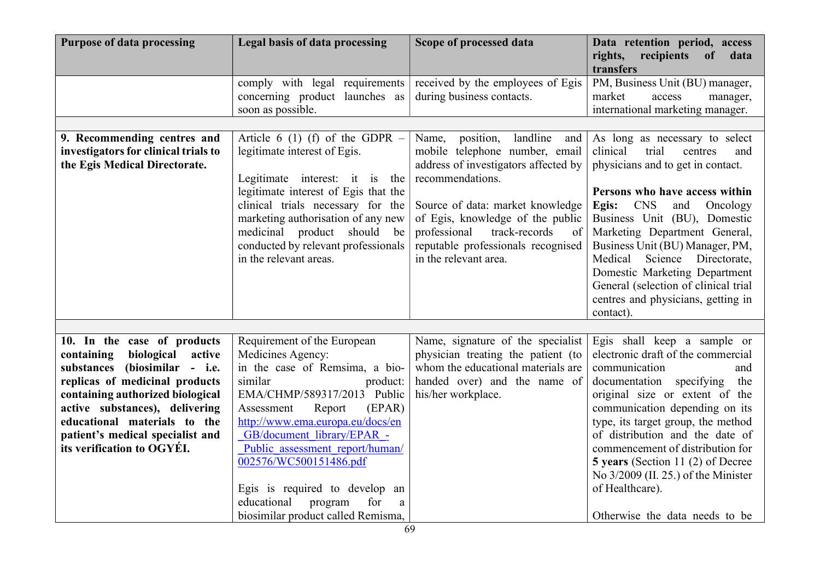| <b>Purpose of data processing</b>                                                                                                                                                                                                                                                                            | Legal basis of data processing                                                                                                                                                                                                                                                                                                                                                                                          | Scope of processed data                                                                                                                                                                                                                                                                                        | Data retention period, access<br>rights, recipients<br>of<br>data<br>transfers                                                                                                                                                                                                                                                                                                                                                                            |
|--------------------------------------------------------------------------------------------------------------------------------------------------------------------------------------------------------------------------------------------------------------------------------------------------------------|-------------------------------------------------------------------------------------------------------------------------------------------------------------------------------------------------------------------------------------------------------------------------------------------------------------------------------------------------------------------------------------------------------------------------|----------------------------------------------------------------------------------------------------------------------------------------------------------------------------------------------------------------------------------------------------------------------------------------------------------------|-----------------------------------------------------------------------------------------------------------------------------------------------------------------------------------------------------------------------------------------------------------------------------------------------------------------------------------------------------------------------------------------------------------------------------------------------------------|
|                                                                                                                                                                                                                                                                                                              | comply with legal requirements<br>concerning product launches as<br>soon as possible.                                                                                                                                                                                                                                                                                                                                   | received by the employees of Egis<br>during business contacts.                                                                                                                                                                                                                                                 | PM, Business Unit (BU) manager,<br>market<br>access<br>manager,<br>international marketing manager.                                                                                                                                                                                                                                                                                                                                                       |
| 9. Recommending centres and<br>investigators for clinical trials to<br>the Egis Medical Directorate.                                                                                                                                                                                                         | Article 6 (1) (f) of the GDPR $-$<br>legitimate interest of Egis.<br>Legitimate interest: it is the<br>legitimate interest of Egis that the<br>clinical trials necessary for the<br>marketing authorisation of any new<br>medicinal product should<br>be<br>conducted by relevant professionals<br>in the relevant areas.                                                                                               | landline and<br>position,<br>Name,<br>mobile telephone number, email<br>address of investigators affected by<br>recommendations.<br>Source of data: market knowledge<br>of Egis, knowledge of the public<br>professional<br>track-records<br>of<br>reputable professionals recognised<br>in the relevant area. | As long as necessary to select<br>trial<br>clinical<br>centres<br>and<br>physicians and to get in contact.<br>Persons who have access within<br><b>CNS</b><br>Egis:<br>and<br>Oncology<br>Business Unit (BU), Domestic<br>Marketing Department General,<br>Business Unit (BU) Manager, PM,<br>Medical<br>Science Directorate,<br>Domestic Marketing Department<br>General (selection of clinical trial<br>centres and physicians, getting in<br>contact). |
| 10. In the case of products<br>biological<br>containing<br>active<br>substances (biosimilar - i.e.<br>replicas of medicinal products<br>containing authorized biological<br>active substances), delivering<br>educational materials to the<br>patient's medical specialist and<br>its verification to OGYÉI. | Requirement of the European<br>Medicines Agency:<br>in the case of Remsima, a bio-<br>similar<br>product:<br>EMA/CHMP/589317/2013 Public<br>(EPAR)<br>Assessment<br>Report<br>http://www.ema.europa.eu/docs/en<br>GB/document library/EPAR -<br>Public assessment report/human/<br>002576/WC500151486.pdf<br>Egis is required to develop an<br>educational<br>program<br>for<br>a<br>biosimilar product called Remisma, | Name, signature of the specialist<br>physician treating the patient (to<br>whom the educational materials are<br>handed over) and the name of<br>his/her workplace.                                                                                                                                            | Egis shall keep a sample or<br>electronic draft of the commercial<br>communication<br>and<br>documentation specifying<br>the<br>original size or extent of the<br>communication depending on its<br>type, its target group, the method<br>of distribution and the date of<br>commencement of distribution for<br>5 years (Section 11 (2) of Decree<br>No 3/2009 (II. 25.) of the Minister<br>of Healthcare).<br>Otherwise the data needs to be            |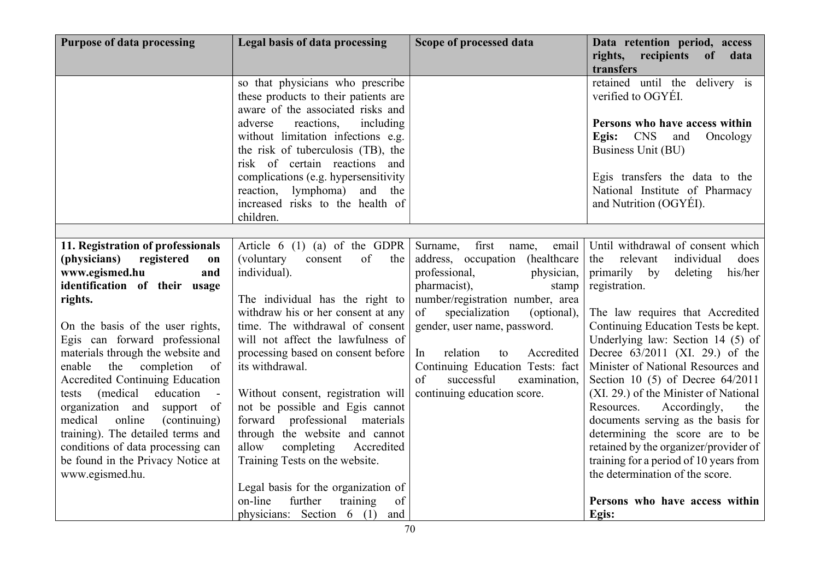| <b>Purpose of data processing</b>                                   | Legal basis of data processing                                                                                                                  | Scope of processed data                                    | Data retention period, access<br>rights,<br>recipients<br>$\bf{of}$<br>data<br>transfers       |
|---------------------------------------------------------------------|-------------------------------------------------------------------------------------------------------------------------------------------------|------------------------------------------------------------|------------------------------------------------------------------------------------------------|
|                                                                     | so that physicians who prescribe<br>these products to their patients are<br>aware of the associated risks and                                   |                                                            | retained until the delivery is<br>verified to OGYEI.                                           |
|                                                                     | reactions,<br>including<br>adverse<br>without limitation infections e.g.<br>the risk of tuberculosis (TB), the<br>risk of certain reactions and |                                                            | Persons who have access within<br><b>CNS</b><br>Oncology<br>Egis:<br>and<br>Business Unit (BU) |
|                                                                     | complications (e.g. hypersensitivity<br>reaction, lymphoma)<br>and<br>the<br>increased risks to the health of<br>children.                      |                                                            | Egis transfers the data to the<br>National Institute of Pharmacy<br>and Nutrition (OGYÉI).     |
|                                                                     |                                                                                                                                                 |                                                            |                                                                                                |
| 11. Registration of professionals                                   | Article $6(1)(a)$ of the GDPR                                                                                                                   | first<br>Surname,<br>email<br>name,                        | Until withdrawal of consent which                                                              |
| registered<br>(physicians)<br>on                                    | of<br>(voluntary<br>consent<br>the                                                                                                              | address, occupation<br>(healthcare)                        | does<br>relevant<br>individual<br>the                                                          |
| www.egismed.hu<br>and                                               | individual).                                                                                                                                    | professional,<br>physician,                                | primarily by<br>deleting<br>his/her                                                            |
| identification of their usage                                       |                                                                                                                                                 | pharmacist),<br>stamp                                      | registration.                                                                                  |
| rights.                                                             | The individual has the right to                                                                                                                 | number/registration number, area                           |                                                                                                |
|                                                                     | withdraw his or her consent at any                                                                                                              | of<br>specialization<br>(optional),                        | The law requires that Accredited                                                               |
| On the basis of the user rights,                                    | time. The withdrawal of consent                                                                                                                 | gender, user name, password.                               | Continuing Education Tests be kept.                                                            |
| Egis can forward professional                                       | will not affect the lawfulness of                                                                                                               | relation                                                   | Underlying law: Section $14$ (5) of                                                            |
| materials through the website and<br>the completion<br>enable<br>of | processing based on consent before<br>its withdrawal.                                                                                           | Accredited<br>In<br>to<br>Continuing Education Tests: fact | Decree $63/2011$ (XI. 29.) of the<br>Minister of National Resources and                        |
| Accredited Continuing Education                                     |                                                                                                                                                 | of<br>successful<br>examination,                           | Section 10 $(5)$ of Decree $64/2011$                                                           |
| (medical)<br>education<br>tests                                     | Without consent, registration will                                                                                                              | continuing education score.                                | (XI. 29.) of the Minister of National                                                          |
| organization and support of                                         | not be possible and Egis cannot                                                                                                                 |                                                            | Resources.<br>Accordingly,<br>the                                                              |
| online<br>medical<br>(continuing)                                   | forward professional materials                                                                                                                  |                                                            | documents serving as the basis for                                                             |
| training). The detailed terms and                                   | through the website and cannot                                                                                                                  |                                                            | determining the score are to be                                                                |
| conditions of data processing can                                   | allow<br>completing<br>Accredited                                                                                                               |                                                            | retained by the organizer/provider of                                                          |
| be found in the Privacy Notice at                                   | Training Tests on the website.                                                                                                                  |                                                            | training for a period of 10 years from                                                         |
| www.egismed.hu.                                                     |                                                                                                                                                 |                                                            | the determination of the score.                                                                |
|                                                                     | Legal basis for the organization of                                                                                                             |                                                            |                                                                                                |
|                                                                     | on-line<br>further<br>training<br>of                                                                                                            |                                                            | Persons who have access within                                                                 |
|                                                                     | physicians: Section 6 (1) and                                                                                                                   |                                                            | Egis:                                                                                          |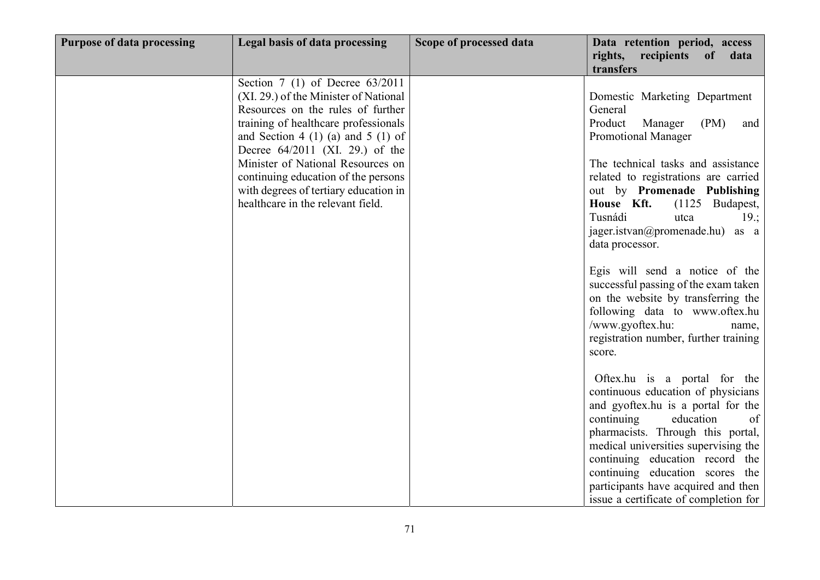| <b>Purpose of data processing</b> | Legal basis of data processing                                                                                                                                                                                                                                                                                                                                                                | Scope of processed data | Data retention period, access<br>rights, recipients<br>of<br>data<br>transfers                                                                                                                                                                                                                                                                                                                                                                                                                                                                                                  |
|-----------------------------------|-----------------------------------------------------------------------------------------------------------------------------------------------------------------------------------------------------------------------------------------------------------------------------------------------------------------------------------------------------------------------------------------------|-------------------------|---------------------------------------------------------------------------------------------------------------------------------------------------------------------------------------------------------------------------------------------------------------------------------------------------------------------------------------------------------------------------------------------------------------------------------------------------------------------------------------------------------------------------------------------------------------------------------|
|                                   | Section $7(1)$ of Decree $63/2011$<br>(XI. 29.) of the Minister of National<br>Resources on the rules of further<br>training of healthcare professionals<br>and Section 4 (1) (a) and 5 (1) of<br>Decree $64/2011$ (XI. 29.) of the<br>Minister of National Resources on<br>continuing education of the persons<br>with degrees of tertiary education in<br>healthcare in the relevant field. |                         | Domestic Marketing Department<br>General<br>Product<br>Manager<br>(PM)<br>and<br><b>Promotional Manager</b><br>The technical tasks and assistance<br>related to registrations are carried<br>out by Promenade Publishing<br>House Kft.<br>(1125 Budapest,<br>Tusnádi<br>utca<br>$19$ .;<br>jager.istvan@promenade.hu) as a<br>data processor.<br>Egis will send a notice of the<br>successful passing of the exam taken<br>on the website by transferring the<br>following data to www.oftex.hu<br>/www.gyoftex.hu:<br>name,<br>registration number, further training<br>score. |
|                                   |                                                                                                                                                                                                                                                                                                                                                                                               |                         | Oftex.hu is a portal for the<br>continuous education of physicians<br>and gyoftex.hu is a portal for the<br>of<br>continuing<br>education<br>pharmacists. Through this portal,<br>medical universities supervising the<br>continuing education record the<br>continuing education scores the<br>participants have acquired and then<br>issue a certificate of completion for                                                                                                                                                                                                    |